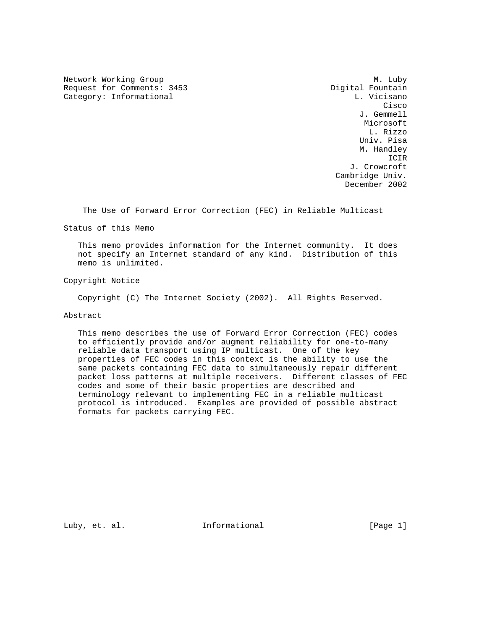Network Working Group Methods and Methods M. Luby Request for Comments: 3453 Digital Fountain Category: Informational Category: L. Vicisano

**Cisco de la contrata de la contrata de la contrata de la contrata de la contrata de la contrata de la contrat**  J. Gemmell Microsoft L. Rizzo Univ. Pisa M. Handley ICIR J. Crowcroft Cambridge Univ. December 2002

The Use of Forward Error Correction (FEC) in Reliable Multicast

Status of this Memo

 This memo provides information for the Internet community. It does not specify an Internet standard of any kind. Distribution of this memo is unlimited.

Copyright Notice

Copyright (C) The Internet Society (2002). All Rights Reserved.

Abstract

 This memo describes the use of Forward Error Correction (FEC) codes to efficiently provide and/or augment reliability for one-to-many reliable data transport using IP multicast. One of the key properties of FEC codes in this context is the ability to use the same packets containing FEC data to simultaneously repair different packet loss patterns at multiple receivers. Different classes of FEC codes and some of their basic properties are described and terminology relevant to implementing FEC in a reliable multicast protocol is introduced. Examples are provided of possible abstract formats for packets carrying FEC.

Luby, et. al. 10. Informational 1. [Page 1]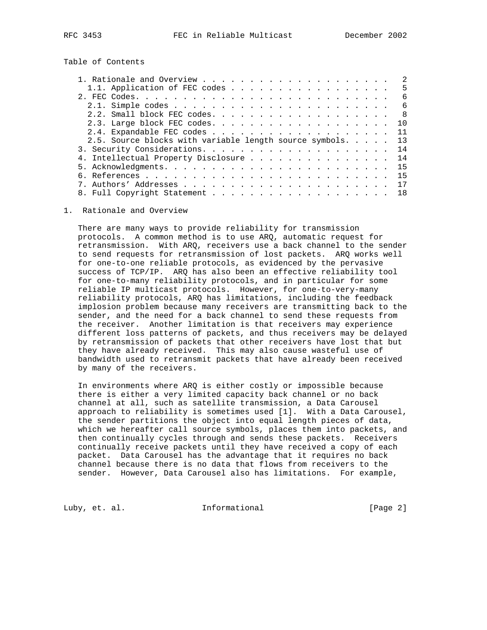Table of Contents

| .5<br>6<br>6<br>-8<br>10 |
|--------------------------|
|                          |
|                          |
|                          |
|                          |
|                          |
| 11                       |
| 13                       |
| 14                       |
| 14                       |
| 15                       |
| 15                       |
| 17                       |
| 18                       |
|                          |

1. Rationale and Overview

 There are many ways to provide reliability for transmission protocols. A common method is to use ARQ, automatic request for retransmission. With ARQ, receivers use a back channel to the sender to send requests for retransmission of lost packets. ARQ works well for one-to-one reliable protocols, as evidenced by the pervasive success of TCP/IP. ARQ has also been an effective reliability tool for one-to-many reliability protocols, and in particular for some reliable IP multicast protocols. However, for one-to-very-many reliability protocols, ARQ has limitations, including the feedback implosion problem because many receivers are transmitting back to the sender, and the need for a back channel to send these requests from the receiver. Another limitation is that receivers may experience different loss patterns of packets, and thus receivers may be delayed by retransmission of packets that other receivers have lost that but they have already received. This may also cause wasteful use of bandwidth used to retransmit packets that have already been received by many of the receivers.

 In environments where ARQ is either costly or impossible because there is either a very limited capacity back channel or no back channel at all, such as satellite transmission, a Data Carousel approach to reliability is sometimes used [1]. With a Data Carousel, the sender partitions the object into equal length pieces of data, which we hereafter call source symbols, places them into packets, and then continually cycles through and sends these packets. Receivers continually receive packets until they have received a copy of each packet. Data Carousel has the advantage that it requires no back channel because there is no data that flows from receivers to the sender. However, Data Carousel also has limitations. For example,

Luby, et. al. **Informational** [Page 2]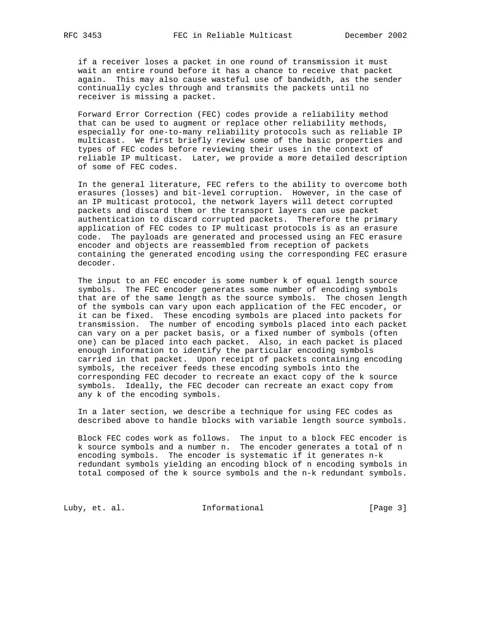if a receiver loses a packet in one round of transmission it must wait an entire round before it has a chance to receive that packet again. This may also cause wasteful use of bandwidth, as the sender continually cycles through and transmits the packets until no receiver is missing a packet.

 Forward Error Correction (FEC) codes provide a reliability method that can be used to augment or replace other reliability methods, especially for one-to-many reliability protocols such as reliable IP multicast. We first briefly review some of the basic properties and types of FEC codes before reviewing their uses in the context of reliable IP multicast. Later, we provide a more detailed description of some of FEC codes.

 In the general literature, FEC refers to the ability to overcome both erasures (losses) and bit-level corruption. However, in the case of an IP multicast protocol, the network layers will detect corrupted packets and discard them or the transport layers can use packet authentication to discard corrupted packets. Therefore the primary application of FEC codes to IP multicast protocols is as an erasure code. The payloads are generated and processed using an FEC erasure encoder and objects are reassembled from reception of packets containing the generated encoding using the corresponding FEC erasure decoder.

 The input to an FEC encoder is some number k of equal length source symbols. The FEC encoder generates some number of encoding symbols that are of the same length as the source symbols. The chosen length of the symbols can vary upon each application of the FEC encoder, or it can be fixed. These encoding symbols are placed into packets for transmission. The number of encoding symbols placed into each packet can vary on a per packet basis, or a fixed number of symbols (often one) can be placed into each packet. Also, in each packet is placed enough information to identify the particular encoding symbols carried in that packet. Upon receipt of packets containing encoding symbols, the receiver feeds these encoding symbols into the corresponding FEC decoder to recreate an exact copy of the k source symbols. Ideally, the FEC decoder can recreate an exact copy from any k of the encoding symbols.

 In a later section, we describe a technique for using FEC codes as described above to handle blocks with variable length source symbols.

 Block FEC codes work as follows. The input to a block FEC encoder is k source symbols and a number n. The encoder generates a total of n encoding symbols. The encoder is systematic if it generates n-k redundant symbols yielding an encoding block of n encoding symbols in total composed of the k source symbols and the n-k redundant symbols.

Luby, et. al. 10. Informational 1. [Page 3]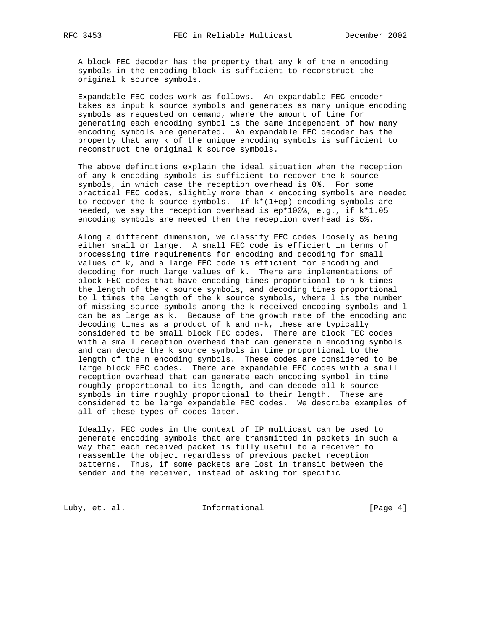A block FEC decoder has the property that any k of the n encoding symbols in the encoding block is sufficient to reconstruct the original k source symbols.

 Expandable FEC codes work as follows. An expandable FEC encoder takes as input k source symbols and generates as many unique encoding symbols as requested on demand, where the amount of time for generating each encoding symbol is the same independent of how many encoding symbols are generated. An expandable FEC decoder has the property that any k of the unique encoding symbols is sufficient to reconstruct the original k source symbols.

 The above definitions explain the ideal situation when the reception of any k encoding symbols is sufficient to recover the k source symbols, in which case the reception overhead is 0%. For some practical FEC codes, slightly more than k encoding symbols are needed to recover the k source symbols. If  $k*(1+ep)$  encoding symbols are needed, we say the reception overhead is ep\*100%, e.g., if k\*1.05 encoding symbols are needed then the reception overhead is 5%.

 Along a different dimension, we classify FEC codes loosely as being either small or large. A small FEC code is efficient in terms of processing time requirements for encoding and decoding for small values of k, and a large FEC code is efficient for encoding and decoding for much large values of k. There are implementations of block FEC codes that have encoding times proportional to n-k times the length of the k source symbols, and decoding times proportional to l times the length of the k source symbols, where l is the number of missing source symbols among the k received encoding symbols and l can be as large as k. Because of the growth rate of the encoding and decoding times as a product of k and n-k, these are typically considered to be small block FEC codes. There are block FEC codes with a small reception overhead that can generate n encoding symbols and can decode the k source symbols in time proportional to the length of the n encoding symbols. These codes are considered to be large block FEC codes. There are expandable FEC codes with a small reception overhead that can generate each encoding symbol in time roughly proportional to its length, and can decode all k source symbols in time roughly proportional to their length. These are considered to be large expandable FEC codes. We describe examples of all of these types of codes later.

 Ideally, FEC codes in the context of IP multicast can be used to generate encoding symbols that are transmitted in packets in such a way that each received packet is fully useful to a receiver to reassemble the object regardless of previous packet reception patterns. Thus, if some packets are lost in transit between the sender and the receiver, instead of asking for specific

Luby, et. al. 10. Informational 1. [Page 4]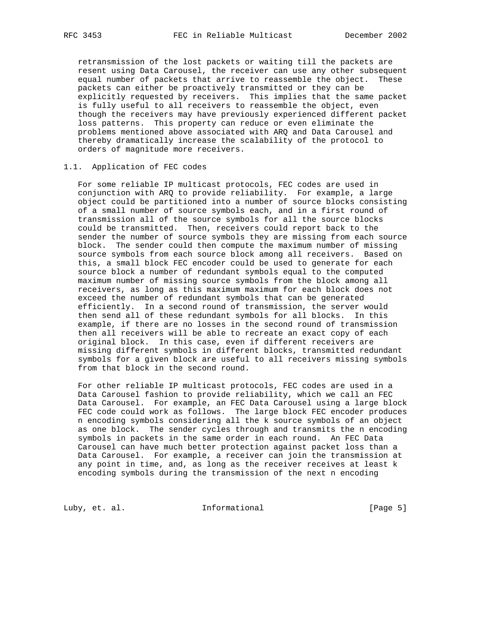retransmission of the lost packets or waiting till the packets are resent using Data Carousel, the receiver can use any other subsequent equal number of packets that arrive to reassemble the object. These packets can either be proactively transmitted or they can be explicitly requested by receivers. This implies that the same packet is fully useful to all receivers to reassemble the object, even though the receivers may have previously experienced different packet loss patterns. This property can reduce or even eliminate the problems mentioned above associated with ARQ and Data Carousel and thereby dramatically increase the scalability of the protocol to orders of magnitude more receivers.

## 1.1. Application of FEC codes

 For some reliable IP multicast protocols, FEC codes are used in conjunction with ARQ to provide reliability. For example, a large object could be partitioned into a number of source blocks consisting of a small number of source symbols each, and in a first round of transmission all of the source symbols for all the source blocks could be transmitted. Then, receivers could report back to the sender the number of source symbols they are missing from each source block. The sender could then compute the maximum number of missing source symbols from each source block among all receivers. Based on this, a small block FEC encoder could be used to generate for each source block a number of redundant symbols equal to the computed maximum number of missing source symbols from the block among all receivers, as long as this maximum maximum for each block does not exceed the number of redundant symbols that can be generated efficiently. In a second round of transmission, the server would then send all of these redundant symbols for all blocks. In this example, if there are no losses in the second round of transmission then all receivers will be able to recreate an exact copy of each original block. In this case, even if different receivers are missing different symbols in different blocks, transmitted redundant symbols for a given block are useful to all receivers missing symbols from that block in the second round.

 For other reliable IP multicast protocols, FEC codes are used in a Data Carousel fashion to provide reliability, which we call an FEC Data Carousel. For example, an FEC Data Carousel using a large block FEC code could work as follows. The large block FEC encoder produces n encoding symbols considering all the k source symbols of an object as one block. The sender cycles through and transmits the n encoding symbols in packets in the same order in each round. An FEC Data Carousel can have much better protection against packet loss than a Data Carousel. For example, a receiver can join the transmission at any point in time, and, as long as the receiver receives at least k encoding symbols during the transmission of the next n encoding

Luby, et. al. 10. Informational 1. [Page 5]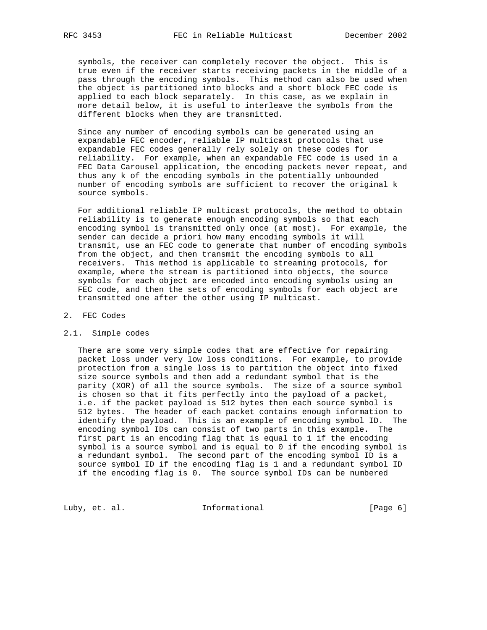symbols, the receiver can completely recover the object. This is true even if the receiver starts receiving packets in the middle of a pass through the encoding symbols. This method can also be used when the object is partitioned into blocks and a short block FEC code is applied to each block separately. In this case, as we explain in more detail below, it is useful to interleave the symbols from the different blocks when they are transmitted.

 Since any number of encoding symbols can be generated using an expandable FEC encoder, reliable IP multicast protocols that use expandable FEC codes generally rely solely on these codes for reliability. For example, when an expandable FEC code is used in a FEC Data Carousel application, the encoding packets never repeat, and thus any k of the encoding symbols in the potentially unbounded number of encoding symbols are sufficient to recover the original k source symbols.

 For additional reliable IP multicast protocols, the method to obtain reliability is to generate enough encoding symbols so that each encoding symbol is transmitted only once (at most). For example, the sender can decide a priori how many encoding symbols it will transmit, use an FEC code to generate that number of encoding symbols from the object, and then transmit the encoding symbols to all receivers. This method is applicable to streaming protocols, for example, where the stream is partitioned into objects, the source symbols for each object are encoded into encoding symbols using an FEC code, and then the sets of encoding symbols for each object are transmitted one after the other using IP multicast.

## 2. FEC Codes

#### 2.1. Simple codes

 There are some very simple codes that are effective for repairing packet loss under very low loss conditions. For example, to provide protection from a single loss is to partition the object into fixed size source symbols and then add a redundant symbol that is the parity (XOR) of all the source symbols. The size of a source symbol is chosen so that it fits perfectly into the payload of a packet, i.e. if the packet payload is 512 bytes then each source symbol is 512 bytes. The header of each packet contains enough information to identify the payload. This is an example of encoding symbol ID. The encoding symbol IDs can consist of two parts in this example. The first part is an encoding flag that is equal to 1 if the encoding symbol is a source symbol and is equal to 0 if the encoding symbol is a redundant symbol. The second part of the encoding symbol ID is a source symbol ID if the encoding flag is 1 and a redundant symbol ID if the encoding flag is 0. The source symbol IDs can be numbered

Luby, et. al. 10. Informational 1. [Page 6]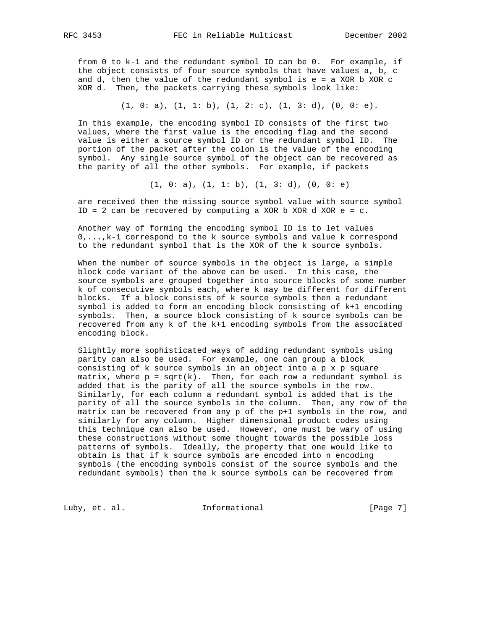from 0 to k-1 and the redundant symbol ID can be 0. For example, if the object consists of four source symbols that have values a, b, c and  $d$ , then the value of the redundant symbol is  $e = a$  XOR  $b$  XOR  $c$ XOR d. Then, the packets carrying these symbols look like:

$$
(1, 0: a), (1, 1: b), (1, 2: c), (1, 3: d), (0, 0: e).
$$

 In this example, the encoding symbol ID consists of the first two values, where the first value is the encoding flag and the second value is either a source symbol ID or the redundant symbol ID. The portion of the packet after the colon is the value of the encoding symbol. Any single source symbol of the object can be recovered as the parity of all the other symbols. For example, if packets

 $(1, 0: a), (1, 1: b), (1, 3: d), (0, 0: e)$ 

 are received then the missing source symbol value with source symbol ID = 2 can be recovered by computing a XOR b XOR d XOR e =  $c$ .

 Another way of forming the encoding symbol ID is to let values 0,...,k-1 correspond to the k source symbols and value k correspond to the redundant symbol that is the XOR of the k source symbols.

 When the number of source symbols in the object is large, a simple block code variant of the above can be used. In this case, the source symbols are grouped together into source blocks of some number k of consecutive symbols each, where k may be different for different blocks. If a block consists of k source symbols then a redundant symbol is added to form an encoding block consisting of k+1 encoding symbols. Then, a source block consisting of k source symbols can be recovered from any k of the k+1 encoding symbols from the associated encoding block.

 Slightly more sophisticated ways of adding redundant symbols using parity can also be used. For example, one can group a block consisting of k source symbols in an object into a p x p square matrix, where  $p = sqrt(k)$ . Then, for each row a redundant symbol is added that is the parity of all the source symbols in the row. Similarly, for each column a redundant symbol is added that is the parity of all the source symbols in the column. Then, any row of the matrix can be recovered from any p of the p+1 symbols in the row, and similarly for any column. Higher dimensional product codes using this technique can also be used. However, one must be wary of using these constructions without some thought towards the possible loss patterns of symbols. Ideally, the property that one would like to obtain is that if k source symbols are encoded into n encoding symbols (the encoding symbols consist of the source symbols and the redundant symbols) then the k source symbols can be recovered from

Luby, et. al. 10. Informational 1. [Page 7]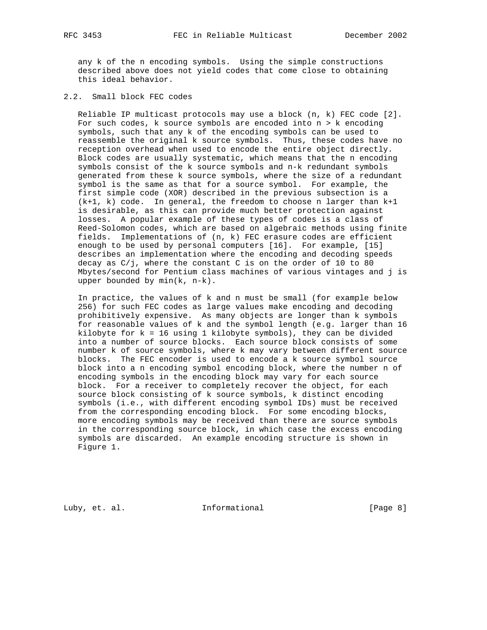any k of the n encoding symbols. Using the simple constructions described above does not yield codes that come close to obtaining this ideal behavior.

2.2. Small block FEC codes

 Reliable IP multicast protocols may use a block (n, k) FEC code [2]. For such codes,  $k$  source symbols are encoded into  $n > k$  encoding symbols, such that any k of the encoding symbols can be used to reassemble the original k source symbols. Thus, these codes have no reception overhead when used to encode the entire object directly. Block codes are usually systematic, which means that the n encoding symbols consist of the k source symbols and n-k redundant symbols generated from these k source symbols, where the size of a redundant symbol is the same as that for a source symbol. For example, the first simple code (XOR) described in the previous subsection is a (k+1, k) code. In general, the freedom to choose n larger than k+1 is desirable, as this can provide much better protection against losses. A popular example of these types of codes is a class of Reed-Solomon codes, which are based on algebraic methods using finite fields. Implementations of (n, k) FEC erasure codes are efficient enough to be used by personal computers [16]. For example, [15] describes an implementation where the encoding and decoding speeds decay as C/j, where the constant C is on the order of 10 to 80 Mbytes/second for Pentium class machines of various vintages and j is upper bounded by min(k, n-k).

 In practice, the values of k and n must be small (for example below 256) for such FEC codes as large values make encoding and decoding prohibitively expensive. As many objects are longer than k symbols for reasonable values of k and the symbol length (e.g. larger than 16 kilobyte for  $k = 16$  using 1 kilobyte symbols), they can be divided into a number of source blocks. Each source block consists of some number k of source symbols, where k may vary between different source blocks. The FEC encoder is used to encode a k source symbol source block into a n encoding symbol encoding block, where the number n of encoding symbols in the encoding block may vary for each source block. For a receiver to completely recover the object, for each source block consisting of k source symbols, k distinct encoding symbols (i.e., with different encoding symbol IDs) must be received from the corresponding encoding block. For some encoding blocks, more encoding symbols may be received than there are source symbols in the corresponding source block, in which case the excess encoding symbols are discarded. An example encoding structure is shown in Figure 1.

Luby, et. al. 10. Informational 1. [Page 8]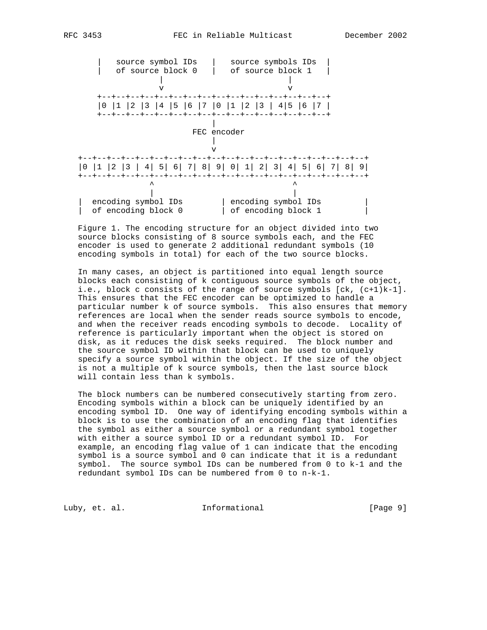

 Figure 1. The encoding structure for an object divided into two source blocks consisting of 8 source symbols each, and the FEC encoder is used to generate 2 additional redundant symbols (10 encoding symbols in total) for each of the two source blocks.

 In many cases, an object is partitioned into equal length source blocks each consisting of k contiguous source symbols of the object, i.e., block c consists of the range of source symbols [ck, (c+1)k-1]. This ensures that the FEC encoder can be optimized to handle a particular number k of source symbols. This also ensures that memory references are local when the sender reads source symbols to encode, and when the receiver reads encoding symbols to decode. Locality of reference is particularly important when the object is stored on disk, as it reduces the disk seeks required. The block number and the source symbol ID within that block can be used to uniquely specify a source symbol within the object. If the size of the object is not a multiple of k source symbols, then the last source block will contain less than k symbols.

 The block numbers can be numbered consecutively starting from zero. Encoding symbols within a block can be uniquely identified by an encoding symbol ID. One way of identifying encoding symbols within a block is to use the combination of an encoding flag that identifies the symbol as either a source symbol or a redundant symbol together with either a source symbol ID or a redundant symbol ID. For example, an encoding flag value of 1 can indicate that the encoding symbol is a source symbol and 0 can indicate that it is a redundant symbol. The source symbol IDs can be numbered from 0 to k-1 and the redundant symbol IDs can be numbered from 0 to n-k-1.

Luby, et. al. 10. Informational 1. [Page 9]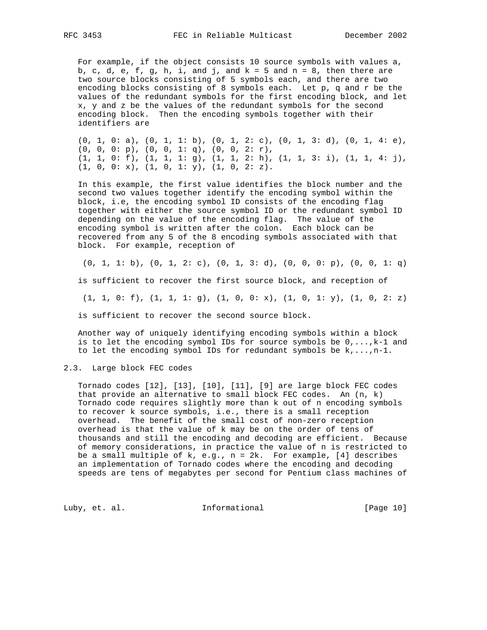For example, if the object consists 10 source symbols with values a, b, c, d, e, f, g, h, i, and j, and  $k = 5$  and  $n = 8$ , then there are two source blocks consisting of 5 symbols each, and there are two encoding blocks consisting of 8 symbols each. Let p, q and r be the values of the redundant symbols for the first encoding block, and let x, y and z be the values of the redundant symbols for the second encoding block. Then the encoding symbols together with their identifiers are

 $(0, 1, 0: a)$ ,  $(0, 1, 1: b)$ ,  $(0, 1, 2: c)$ ,  $(0, 1, 3: d)$ ,  $(0, 1, 4: e)$ , (0, 0, 0: p), (0, 0, 1: q), (0, 0, 2: r), (1, 1, 0: f), (1, 1, 1: g), (1, 1, 2: h), (1, 1, 3: i), (1, 1, 4: j), (1, 0, 0: x), (1, 0, 1: y), (1, 0, 2: z).

 In this example, the first value identifies the block number and the second two values together identify the encoding symbol within the block, i.e, the encoding symbol ID consists of the encoding flag together with either the source symbol ID or the redundant symbol ID depending on the value of the encoding flag. The value of the encoding symbol is written after the colon. Each block can be recovered from any 5 of the 8 encoding symbols associated with that block. For example, reception of

 $(0, 1, 1: b), (0, 1, 2: c), (0, 1, 3: d), (0, 0, 0: p), (0, 0, 1: q)$  is sufficient to recover the first source block, and reception of  $(1, 1, 0: f), (1, 1, 1: g), (1, 0, 0: x), (1, 0, 1: y), (1, 0, 2: z)$ is sufficient to recover the second source block.

 Another way of uniquely identifying encoding symbols within a block is to let the encoding symbol IDs for source symbols be  $0, \ldots, k-1$  and to let the encoding symbol IDs for redundant symbols be  $k, \ldots, n-1$ .

2.3. Large block FEC codes

 Tornado codes [12], [13], [10], [11], [9] are large block FEC codes that provide an alternative to small block FEC codes. An  $(n, k)$  Tornado code requires slightly more than k out of n encoding symbols to recover k source symbols, i.e., there is a small reception overhead. The benefit of the small cost of non-zero reception overhead is that the value of k may be on the order of tens of thousands and still the encoding and decoding are efficient. Because of memory considerations, in practice the value of n is restricted to be a small multiple of  $k$ , e.g.,  $n = 2k$ . For example, [4] describes an implementation of Tornado codes where the encoding and decoding speeds are tens of megabytes per second for Pentium class machines of

Luby, et. al. 10. Informational 1. [Page 10]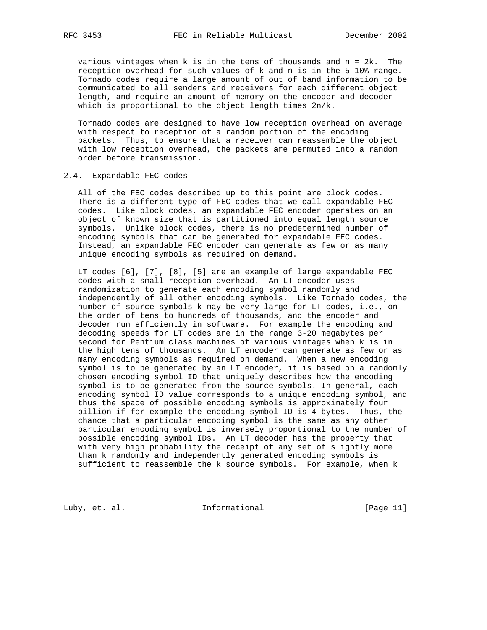various vintages when k is in the tens of thousands and n = 2k. The reception overhead for such values of k and n is in the 5-10% range. Tornado codes require a large amount of out of band information to be communicated to all senders and receivers for each different object length, and require an amount of memory on the encoder and decoder which is proportional to the object length times 2n/k.

 Tornado codes are designed to have low reception overhead on average with respect to reception of a random portion of the encoding packets. Thus, to ensure that a receiver can reassemble the object with low reception overhead, the packets are permuted into a random order before transmission.

### 2.4. Expandable FEC codes

 All of the FEC codes described up to this point are block codes. There is a different type of FEC codes that we call expandable FEC codes. Like block codes, an expandable FEC encoder operates on an object of known size that is partitioned into equal length source symbols. Unlike block codes, there is no predetermined number of encoding symbols that can be generated for expandable FEC codes. Instead, an expandable FEC encoder can generate as few or as many unique encoding symbols as required on demand.

 LT codes [6], [7], [8], [5] are an example of large expandable FEC codes with a small reception overhead. An LT encoder uses randomization to generate each encoding symbol randomly and independently of all other encoding symbols. Like Tornado codes, the number of source symbols k may be very large for LT codes, i.e., on the order of tens to hundreds of thousands, and the encoder and decoder run efficiently in software. For example the encoding and decoding speeds for LT codes are in the range 3-20 megabytes per second for Pentium class machines of various vintages when k is in the high tens of thousands. An LT encoder can generate as few or as many encoding symbols as required on demand. When a new encoding symbol is to be generated by an LT encoder, it is based on a randomly chosen encoding symbol ID that uniquely describes how the encoding symbol is to be generated from the source symbols. In general, each encoding symbol ID value corresponds to a unique encoding symbol, and thus the space of possible encoding symbols is approximately four billion if for example the encoding symbol ID is 4 bytes. Thus, the chance that a particular encoding symbol is the same as any other particular encoding symbol is inversely proportional to the number of possible encoding symbol IDs. An LT decoder has the property that with very high probability the receipt of any set of slightly more than k randomly and independently generated encoding symbols is sufficient to reassemble the k source symbols. For example, when k

Luby, et. al. 10. Informational 1. [Page 11]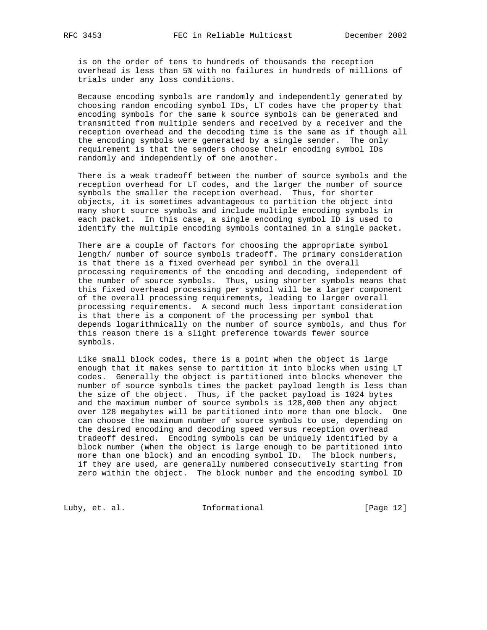is on the order of tens to hundreds of thousands the reception overhead is less than 5% with no failures in hundreds of millions of trials under any loss conditions.

 Because encoding symbols are randomly and independently generated by choosing random encoding symbol IDs, LT codes have the property that encoding symbols for the same k source symbols can be generated and transmitted from multiple senders and received by a receiver and the reception overhead and the decoding time is the same as if though all the encoding symbols were generated by a single sender. The only requirement is that the senders choose their encoding symbol IDs randomly and independently of one another.

 There is a weak tradeoff between the number of source symbols and the reception overhead for LT codes, and the larger the number of source symbols the smaller the reception overhead. Thus, for shorter objects, it is sometimes advantageous to partition the object into many short source symbols and include multiple encoding symbols in each packet. In this case, a single encoding symbol ID is used to identify the multiple encoding symbols contained in a single packet.

 There are a couple of factors for choosing the appropriate symbol length/ number of source symbols tradeoff. The primary consideration is that there is a fixed overhead per symbol in the overall processing requirements of the encoding and decoding, independent of the number of source symbols. Thus, using shorter symbols means that this fixed overhead processing per symbol will be a larger component of the overall processing requirements, leading to larger overall processing requirements. A second much less important consideration is that there is a component of the processing per symbol that depends logarithmically on the number of source symbols, and thus for this reason there is a slight preference towards fewer source symbols.

 Like small block codes, there is a point when the object is large enough that it makes sense to partition it into blocks when using LT codes. Generally the object is partitioned into blocks whenever the number of source symbols times the packet payload length is less than the size of the object. Thus, if the packet payload is 1024 bytes and the maximum number of source symbols is 128,000 then any object over 128 megabytes will be partitioned into more than one block. One can choose the maximum number of source symbols to use, depending on the desired encoding and decoding speed versus reception overhead tradeoff desired. Encoding symbols can be uniquely identified by a block number (when the object is large enough to be partitioned into more than one block) and an encoding symbol ID. The block numbers, if they are used, are generally numbered consecutively starting from zero within the object. The block number and the encoding symbol ID

Luby, et. al. 10. Informational 1. [Page 12]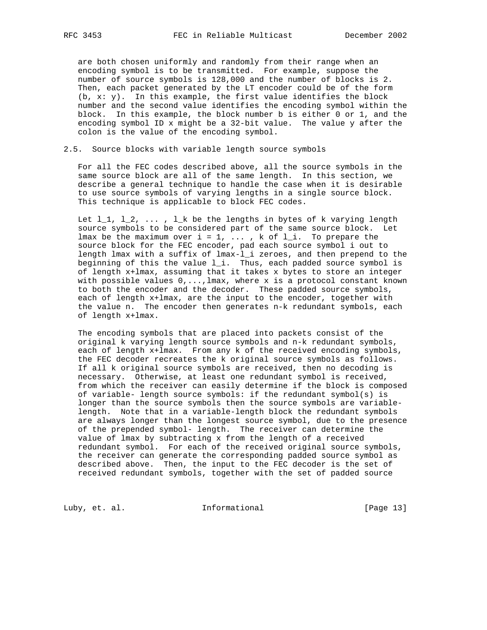are both chosen uniformly and randomly from their range when an encoding symbol is to be transmitted. For example, suppose the number of source symbols is 128,000 and the number of blocks is 2. Then, each packet generated by the LT encoder could be of the form (b, x: y). In this example, the first value identifies the block number and the second value identifies the encoding symbol within the block. In this example, the block number b is either 0 or 1, and the encoding symbol ID x might be a 32-bit value. The value y after the colon is the value of the encoding symbol.

#### 2.5. Source blocks with variable length source symbols

 For all the FEC codes described above, all the source symbols in the same source block are all of the same length. In this section, we describe a general technique to handle the case when it is desirable to use source symbols of varying lengths in a single source block. This technique is applicable to block FEC codes.

Let  $l_1, l_2, \ldots, l_k$  be the lengths in bytes of k varying length source symbols to be considered part of the same source block. Let lmax be the maximum over  $i = 1, \ldots, k$  of  $l_i$ . To prepare the source block for the FEC encoder, pad each source symbol i out to length lmax with a suffix of lmax-l\_i zeroes, and then prepend to the beginning of this the value  $l_i$ . Thus, each padded source symbol is of length x+lmax, assuming that it takes x bytes to store an integer with possible values  $0, \ldots, \text{lmax}$ , where x is a protocol constant known to both the encoder and the decoder. These padded source symbols, each of length x+lmax, are the input to the encoder, together with the value n. The encoder then generates n-k redundant symbols, each of length x+lmax.

 The encoding symbols that are placed into packets consist of the original k varying length source symbols and n-k redundant symbols, each of length x+lmax. From any k of the received encoding symbols, the FEC decoder recreates the k original source symbols as follows. If all k original source symbols are received, then no decoding is necessary. Otherwise, at least one redundant symbol is received, from which the receiver can easily determine if the block is composed of variable- length source symbols: if the redundant symbol(s) is longer than the source symbols then the source symbols are variable length. Note that in a variable-length block the redundant symbols are always longer than the longest source symbol, due to the presence of the prepended symbol- length. The receiver can determine the value of lmax by subtracting x from the length of a received redundant symbol. For each of the received original source symbols, the receiver can generate the corresponding padded source symbol as described above. Then, the input to the FEC decoder is the set of received redundant symbols, together with the set of padded source

Luby, et. al. 10. Informational 1. [Page 13]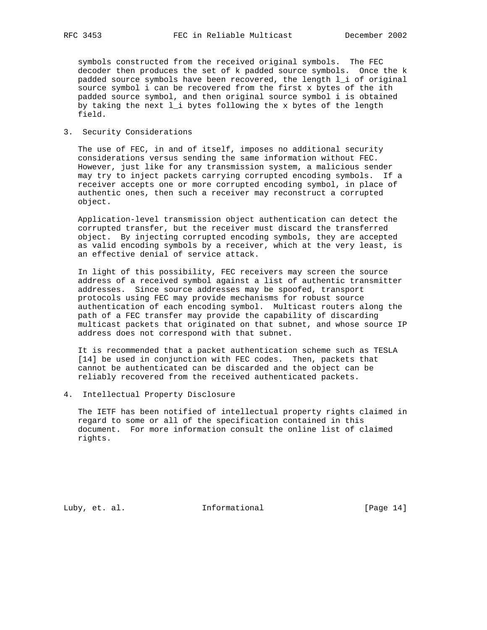symbols constructed from the received original symbols. The FEC decoder then produces the set of k padded source symbols. Once the k padded source symbols have been recovered, the length l\_i of original source symbol i can be recovered from the first x bytes of the ith padded source symbol, and then original source symbol i is obtained by taking the next l\_i bytes following the x bytes of the length field.

## 3. Security Considerations

 The use of FEC, in and of itself, imposes no additional security considerations versus sending the same information without FEC. However, just like for any transmission system, a malicious sender may try to inject packets carrying corrupted encoding symbols. If a receiver accepts one or more corrupted encoding symbol, in place of authentic ones, then such a receiver may reconstruct a corrupted object.

 Application-level transmission object authentication can detect the corrupted transfer, but the receiver must discard the transferred object. By injecting corrupted encoding symbols, they are accepted as valid encoding symbols by a receiver, which at the very least, is an effective denial of service attack.

 In light of this possibility, FEC receivers may screen the source address of a received symbol against a list of authentic transmitter addresses. Since source addresses may be spoofed, transport protocols using FEC may provide mechanisms for robust source authentication of each encoding symbol. Multicast routers along the path of a FEC transfer may provide the capability of discarding multicast packets that originated on that subnet, and whose source IP address does not correspond with that subnet.

 It is recommended that a packet authentication scheme such as TESLA [14] be used in conjunction with FEC codes. Then, packets that cannot be authenticated can be discarded and the object can be reliably recovered from the received authenticated packets.

### 4. Intellectual Property Disclosure

 The IETF has been notified of intellectual property rights claimed in regard to some or all of the specification contained in this document. For more information consult the online list of claimed rights.

Luby, et. al. 10. Informational 1. [Page 14]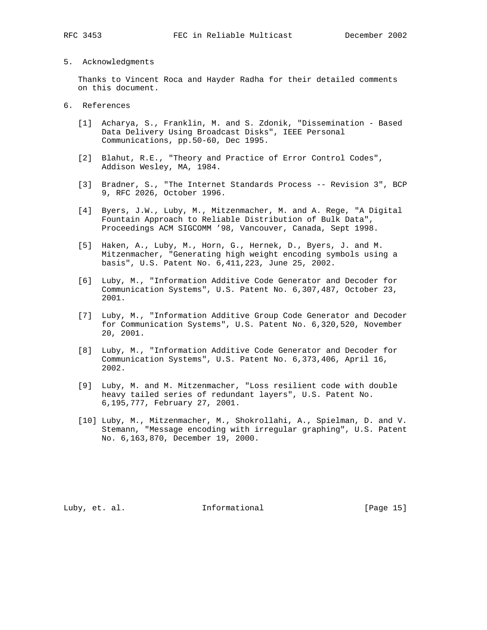- 
- 5. Acknowledgments

 Thanks to Vincent Roca and Hayder Radha for their detailed comments on this document.

- 6. References
	- [1] Acharya, S., Franklin, M. and S. Zdonik, "Dissemination Based Data Delivery Using Broadcast Disks", IEEE Personal Communications, pp.50-60, Dec 1995.
	- [2] Blahut, R.E., "Theory and Practice of Error Control Codes", Addison Wesley, MA, 1984.
	- [3] Bradner, S., "The Internet Standards Process -- Revision 3", BCP 9, RFC 2026, October 1996.
	- [4] Byers, J.W., Luby, M., Mitzenmacher, M. and A. Rege, "A Digital Fountain Approach to Reliable Distribution of Bulk Data", Proceedings ACM SIGCOMM '98, Vancouver, Canada, Sept 1998.
	- [5] Haken, A., Luby, M., Horn, G., Hernek, D., Byers, J. and M. Mitzenmacher, "Generating high weight encoding symbols using a basis", U.S. Patent No. 6,411,223, June 25, 2002.
	- [6] Luby, M., "Information Additive Code Generator and Decoder for Communication Systems", U.S. Patent No. 6,307,487, October 23, 2001.
	- [7] Luby, M., "Information Additive Group Code Generator and Decoder for Communication Systems", U.S. Patent No. 6,320,520, November 20, 2001.
	- [8] Luby, M., "Information Additive Code Generator and Decoder for Communication Systems", U.S. Patent No. 6,373,406, April 16, 2002.
	- [9] Luby, M. and M. Mitzenmacher, "Loss resilient code with double heavy tailed series of redundant layers", U.S. Patent No. 6,195,777, February 27, 2001.
	- [10] Luby, M., Mitzenmacher, M., Shokrollahi, A., Spielman, D. and V. Stemann, "Message encoding with irregular graphing", U.S. Patent No. 6,163,870, December 19, 2000.

Luby, et. al. 10. Informational 1. [Page 15]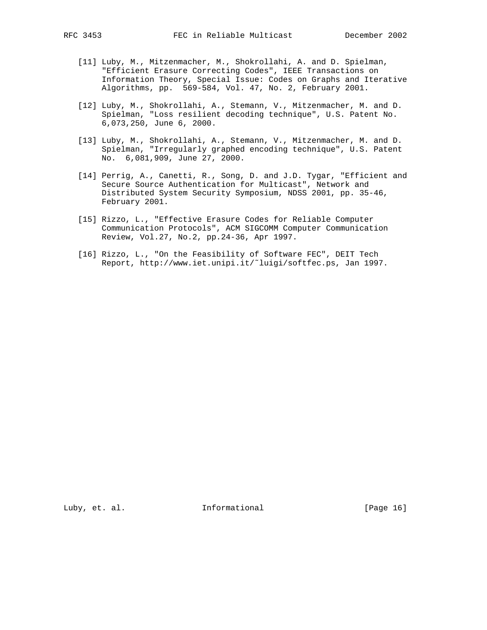- [11] Luby, M., Mitzenmacher, M., Shokrollahi, A. and D. Spielman, "Efficient Erasure Correcting Codes", IEEE Transactions on Information Theory, Special Issue: Codes on Graphs and Iterative Algorithms, pp. 569-584, Vol. 47, No. 2, February 2001.
- [12] Luby, M., Shokrollahi, A., Stemann, V., Mitzenmacher, M. and D. Spielman, "Loss resilient decoding technique", U.S. Patent No. 6,073,250, June 6, 2000.
- [13] Luby, M., Shokrollahi, A., Stemann, V., Mitzenmacher, M. and D. Spielman, "Irregularly graphed encoding technique", U.S. Patent No. 6,081,909, June 27, 2000.
- [14] Perrig, A., Canetti, R., Song, D. and J.D. Tygar, "Efficient and Secure Source Authentication for Multicast", Network and Distributed System Security Symposium, NDSS 2001, pp. 35-46, February 2001.
- [15] Rizzo, L., "Effective Erasure Codes for Reliable Computer Communication Protocols", ACM SIGCOMM Computer Communication Review, Vol.27, No.2, pp.24-36, Apr 1997.
- [16] Rizzo, L., "On the Feasibility of Software FEC", DEIT Tech Report, http://www.iet.unipi.it/˜luigi/softfec.ps, Jan 1997.

Luby, et. al. 10. Informational 1. [Page 16]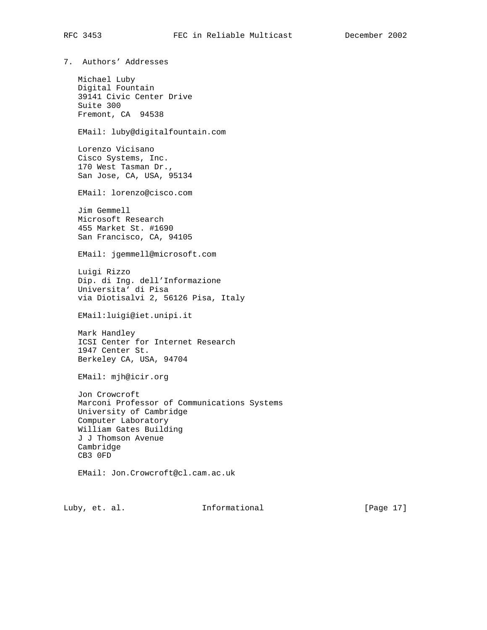7. Authors' Addresses Michael Luby Digital Fountain 39141 Civic Center Drive Suite 300 Fremont, CA 94538 EMail: luby@digitalfountain.com Lorenzo Vicisano Cisco Systems, Inc. 170 West Tasman Dr., San Jose, CA, USA, 95134 EMail: lorenzo@cisco.com Jim Gemmell Microsoft Research 455 Market St. #1690 San Francisco, CA, 94105 EMail: jgemmell@microsoft.com Luigi Rizzo Dip. di Ing. dell'Informazione Universita' di Pisa via Diotisalvi 2, 56126 Pisa, Italy EMail:luigi@iet.unipi.it Mark Handley ICSI Center for Internet Research 1947 Center St. Berkeley CA, USA, 94704 EMail: mjh@icir.org Jon Crowcroft Marconi Professor of Communications Systems University of Cambridge Computer Laboratory William Gates Building J J Thomson Avenue Cambridge CB3 0FD EMail: Jon.Crowcroft@cl.cam.ac.uk

Luby, et. al. **Informational** [Page 17]